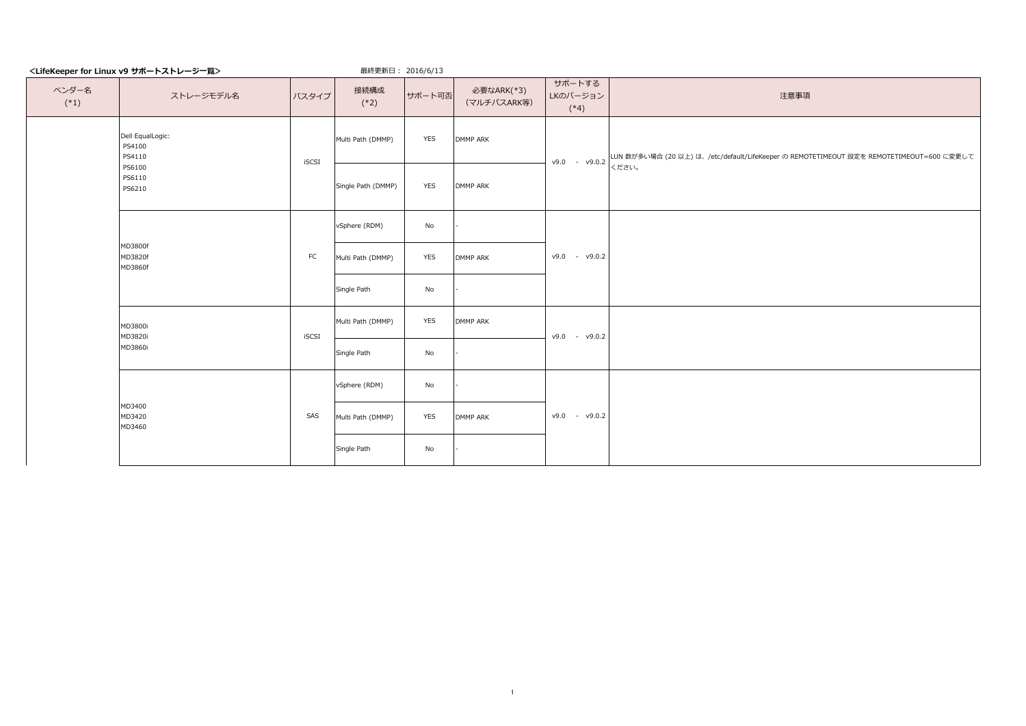|                 | <lifekeeper for="" linux="" v9="" サポートストレージー覧=""></lifekeeper> |       | 最終更新日: 2016/6/13   |        |                           |                              |                                                                                                        |
|-----------------|----------------------------------------------------------------|-------|--------------------|--------|---------------------------|------------------------------|--------------------------------------------------------------------------------------------------------|
| ベンダー名<br>$(*1)$ | ストレージモデル名                                                      | バスタイプ | 接続構成<br>$(*2)$     | サポート可否 | 必要なARK(*3)<br>(マルチパスARK等) | サポートする<br>LKのバージョン<br>$(*4)$ | 注意事項                                                                                                   |
|                 | Dell EqualLogic:<br>PS4100<br>PS4110                           | iSCSI | Multi Path (DMMP)  | YES    | <b>DMMP ARK</b>           |                              | v9.0 - v9.0.2 LUN 数が多い場合 (20 以上) は、/etc/default/LifeKeeper の REMOTETIMEOUT 設定を REMOTETIMEOUT=600 に変更して |
|                 | PS6100<br>PS6110<br>PS6210                                     |       | Single Path (DMMP) | YES    | DMMP ARK                  |                              | ください。                                                                                                  |
|                 |                                                                |       | vSphere (RDM)      | No     |                           |                              |                                                                                                        |
|                 | MD3800f<br>MD3820f<br>MD3860f                                  | FC    | Multi Path (DMMP)  | YES    | <b>DMMP ARK</b>           | $v9.0 - v9.0.2$              |                                                                                                        |
|                 |                                                                |       | Single Path        | No     |                           |                              |                                                                                                        |
|                 | MD3800i<br>MD3820i                                             | iSCSI | Multi Path (DMMP)  | YES    | DMMP ARK                  | $v9.0 - v9.0.2$              |                                                                                                        |
|                 | MD3860i                                                        |       | Single Path        | No     |                           |                              |                                                                                                        |
|                 |                                                                |       | vSphere (RDM)      | No     |                           |                              |                                                                                                        |
|                 | MD3400<br>MD3420<br>MD3460                                     | SAS   | Multi Path (DMMP)  | YES    | DMMP ARK                  | $v9.0 - v9.0.2$              |                                                                                                        |
|                 |                                                                |       | Single Path        | No     |                           |                              |                                                                                                        |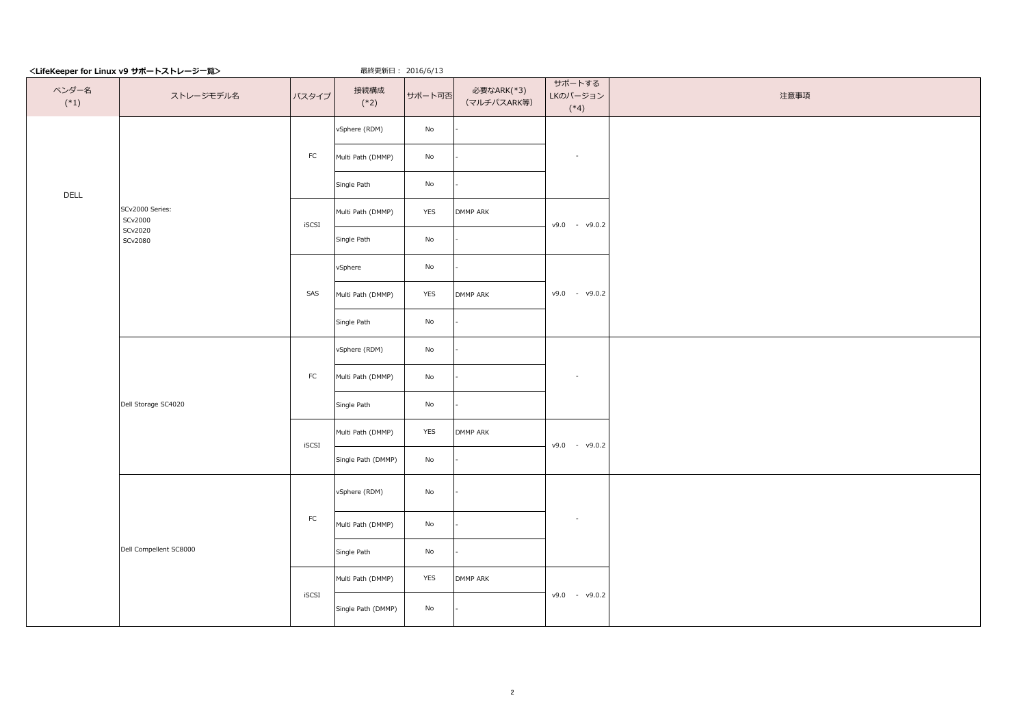| <lifekeeper for="" linux="" v9="" サポートストレージ一覧=""></lifekeeper> |                            |            |                    |                              |                           |                              |      |
|----------------------------------------------------------------|----------------------------|------------|--------------------|------------------------------|---------------------------|------------------------------|------|
| ベンダー名<br>$(*1)$                                                | ストレージモデル名                  | バスタイプ      | 接続構成<br>$(*2)$     | サポート可否                       | 必要なARK(*3)<br>(マルチパスARK等) | サポートする<br>LKのバージョン<br>$(*4)$ | 注意事項 |
|                                                                |                            |            | vSphere (RDM)      | No                           |                           |                              |      |
|                                                                |                            | FC         | Multi Path (DMMP)  | No                           |                           | $\sim$                       |      |
| DELL                                                           |                            |            | Single Path        | $\operatorname{\mathsf{No}}$ |                           |                              |      |
|                                                                | SCv2000 Series:<br>SCv2000 | iSCSI      | Multi Path (DMMP)  | YES                          | DMMP ARK                  | $v9.0 - v9.0.2$              |      |
|                                                                | SCv2020<br>SCv2080         |            | Single Path        | No                           |                           |                              |      |
|                                                                |                            |            | vSphere            | No                           |                           |                              |      |
|                                                                |                            | SAS        | Multi Path (DMMP)  | YES                          | DMMP ARK                  | $v9.0 - v9.0.2$              |      |
|                                                                |                            |            | Single Path        | No                           |                           |                              |      |
|                                                                |                            |            | vSphere (RDM)      | No                           |                           |                              |      |
|                                                                |                            | ${\sf FC}$ | Multi Path (DMMP)  | $\operatorname{\mathsf{No}}$ |                           | $\sim$                       |      |
|                                                                | Dell Storage SC4020        |            | Single Path        | No                           |                           |                              |      |
|                                                                |                            | iSCSI      | Multi Path (DMMP)  | YES                          | DMMP ARK                  | $v9.0 - v9.0.2$              |      |
|                                                                |                            |            | Single Path (DMMP) | No                           |                           |                              |      |
|                                                                |                            |            | vSphere (RDM)      | No                           |                           |                              |      |
|                                                                |                            | FC         | Multi Path (DMMP)  | No                           |                           | $\sim$                       |      |
|                                                                | Dell Compellent SC8000     |            | Single Path        | $\operatorname{\mathsf{No}}$ |                           |                              |      |
|                                                                |                            |            | Multi Path (DMMP)  | YES                          | DMMP ARK                  |                              |      |
|                                                                |                            | iSCSI      | Single Path (DMMP) | No                           |                           | $v9.0 - v9.0.2$              |      |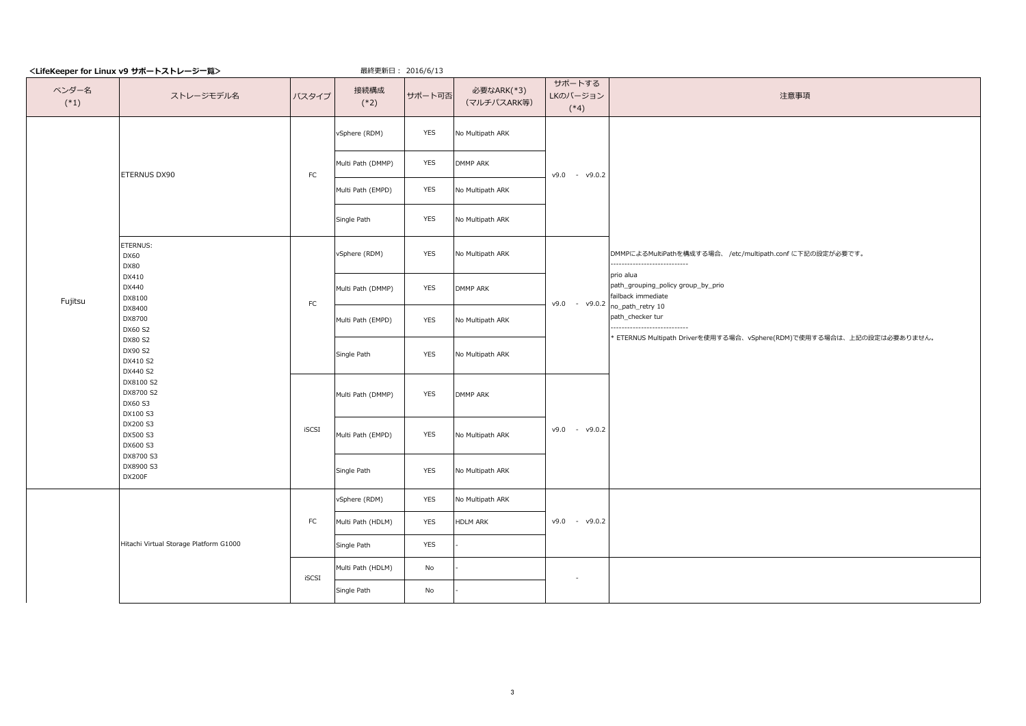|                 | <lifekeeper for="" linux="" v9="" サポートストレージー覧=""></lifekeeper>                                                                                                 |            | 最終更新日: 2016/6/13  |            |                           |                              |                                                                       |
|-----------------|----------------------------------------------------------------------------------------------------------------------------------------------------------------|------------|-------------------|------------|---------------------------|------------------------------|-----------------------------------------------------------------------|
| ベンダー名<br>$(*1)$ | ストレージモデル名                                                                                                                                                      | バスタイプ      | 接続構成<br>$(*2)$    | サポート可否     | 必要なARK(*3)<br>(マルチパスARK等) | サポートする<br>LKのバージョン<br>$(*4)$ | 注意事項                                                                  |
|                 |                                                                                                                                                                |            | vSphere (RDM)     | <b>YES</b> | No Multipath ARK          |                              |                                                                       |
|                 | ETERNUS DX90                                                                                                                                                   | ${\sf FC}$ | Multi Path (DMMP) | YES        | DMMP ARK                  | $v9.0 - v9.0.2$              |                                                                       |
|                 |                                                                                                                                                                |            | Multi Path (EMPD) | YES        | No Multipath ARK          |                              |                                                                       |
|                 |                                                                                                                                                                |            | Single Path       | <b>YES</b> | No Multipath ARK          |                              |                                                                       |
|                 | ETERNUS:<br>DX60<br><b>DX80</b>                                                                                                                                |            | vSphere (RDM)     | YES        | No Multipath ARK          |                              | DMMPによるMultiPathを構成する場合、 /etc/multipath.conf に下記の設定が必要です。<br>         |
| Fujitsu         | DX410<br>DX440<br>DX8100                                                                                                                                       | FC         | Multi Path (DMMP) | <b>YES</b> | DMMP ARK                  | v9.0 - v9.0.2                | prio alua<br>path_grouping_policy group_by_prio<br>failback immediate |
|                 | DX8400<br>DX8700<br>DX60 S2<br>DX80 S2<br>DX90 S2<br>DX410 S2<br>DX440 S2<br>DX8100 S2<br>DX8700 S2<br>DX60 S3<br>DX100 S3<br>DX200 S3<br>DX500 S3<br>DX600 S3 |            | Multi Path (EMPD) | YES        | No Multipath ARK          |                              | no_path_retry 10<br>path_checker tur<br>.                             |
|                 |                                                                                                                                                                |            | Single Path       | <b>YES</b> | No Multipath ARK          |                              | * ETERNUS Multipath Driverを使用する場合、vSphere(RDM)で使用する場合は、上記の設定は必要ありません。 |
|                 |                                                                                                                                                                | iSCSI      | Multi Path (DMMP) | YES        | <b>DMMP ARK</b>           |                              |                                                                       |
|                 |                                                                                                                                                                |            | Multi Path (EMPD) | YES        | No Multipath ARK          | $v9.0 - v9.0.2$              |                                                                       |
|                 | DX8700 S3<br>DX8900 S3<br>DX200F                                                                                                                               |            | Single Path       | <b>YES</b> | No Multipath ARK          |                              |                                                                       |
|                 |                                                                                                                                                                |            | vSphere (RDM)     | <b>YES</b> | No Multipath ARK          |                              |                                                                       |
|                 |                                                                                                                                                                | FC         | Multi Path (HDLM) | <b>YES</b> | HDLM ARK                  | $v9.0 - v9.0.2$              |                                                                       |
|                 | Hitachi Virtual Storage Platform G1000                                                                                                                         |            | Single Path       | <b>YES</b> |                           |                              |                                                                       |
|                 |                                                                                                                                                                | iSCSI      | Multi Path (HDLM) | No         |                           | $\sim$                       |                                                                       |
|                 |                                                                                                                                                                |            | Single Path       | No         |                           |                              |                                                                       |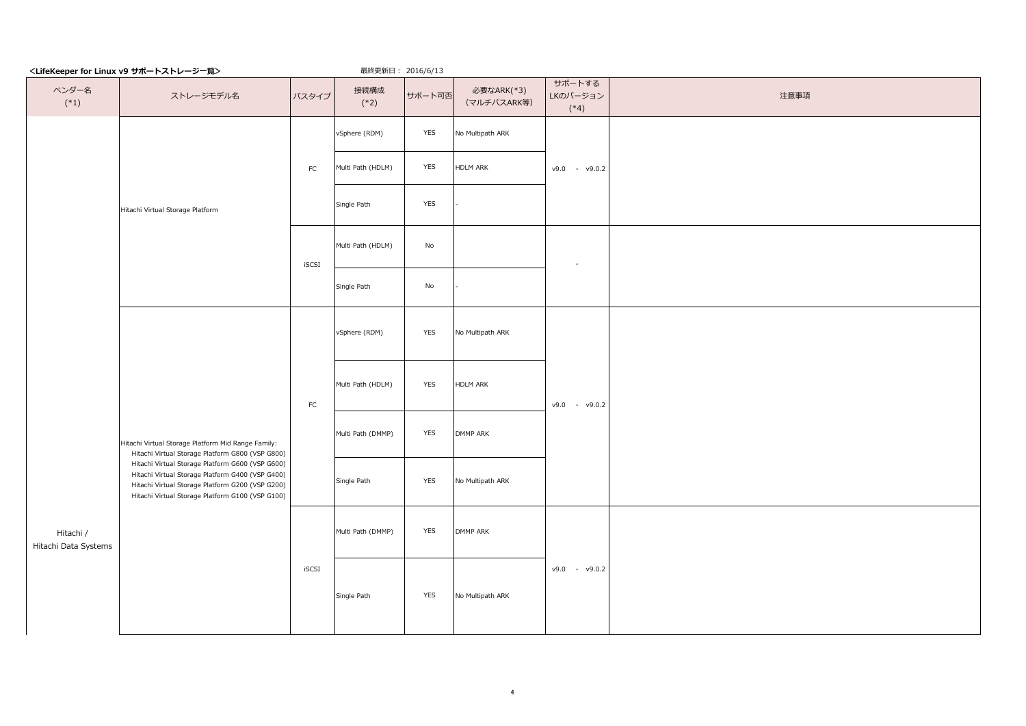|                                   | <lifekeeper for="" linux="" v9="" サボートストレージ一覧=""></lifekeeper>                                                                                                                                                                                                                                                         |            | 最終更新日: 2016/6/13  |               |                           |                              |      |
|-----------------------------------|------------------------------------------------------------------------------------------------------------------------------------------------------------------------------------------------------------------------------------------------------------------------------------------------------------------------|------------|-------------------|---------------|---------------------------|------------------------------|------|
| ベンダー名<br>$(*1)$                   | ストレージモデル名                                                                                                                                                                                                                                                                                                              | バスタイプ      | 接続構成<br>$(*2)$    | サポート可否        | 必要なARK(*3)<br>(マルチパスARK等) | サポートする<br>LKのバージョン<br>$(*4)$ | 注意事項 |
|                                   |                                                                                                                                                                                                                                                                                                                        |            | vSphere (RDM)     | YES           | No Multipath ARK          |                              |      |
|                                   |                                                                                                                                                                                                                                                                                                                        | ${\sf FC}$ | Multi Path (HDLM) | YES           | <b>HDLM ARK</b>           | $v9.0 - v9.0.2$              |      |
|                                   | Hitachi Virtual Storage Platform                                                                                                                                                                                                                                                                                       |            | Single Path       | YES           |                           |                              |      |
|                                   |                                                                                                                                                                                                                                                                                                                        | iSCSI      | Multi Path (HDLM) | $\mathsf{No}$ |                           | $\sim$                       |      |
|                                   |                                                                                                                                                                                                                                                                                                                        |            | Single Path       | No            |                           |                              |      |
|                                   | Hitachi Virtual Storage Platform Mid Range Family:<br>Hitachi Virtual Storage Platform G800 (VSP G800)<br>Hitachi Virtual Storage Platform G600 (VSP G600)<br>Hitachi Virtual Storage Platform G400 (VSP G400)<br>Hitachi Virtual Storage Platform G200 (VSP G200)<br>Hitachi Virtual Storage Platform G100 (VSP G100) | ${\sf FC}$ | vSphere (RDM)     | YES           | No Multipath ARK          | $v9.0 - v9.0.2$              |      |
|                                   |                                                                                                                                                                                                                                                                                                                        |            | Multi Path (HDLM) | YES           | <b>HDLM ARK</b>           |                              |      |
|                                   |                                                                                                                                                                                                                                                                                                                        |            | Multi Path (DMMP) | YES           | DMMP ARK                  |                              |      |
|                                   |                                                                                                                                                                                                                                                                                                                        |            | Single Path       | <b>YES</b>    | No Multipath ARK          |                              |      |
| Hitachi /<br>Hitachi Data Systems |                                                                                                                                                                                                                                                                                                                        |            | Multi Path (DMMP) | YES           | DMMP ARK                  |                              |      |
|                                   |                                                                                                                                                                                                                                                                                                                        | iSCSI      | Single Path       | YES           | No Multipath ARK          | $v9.0 - v9.0.2$              |      |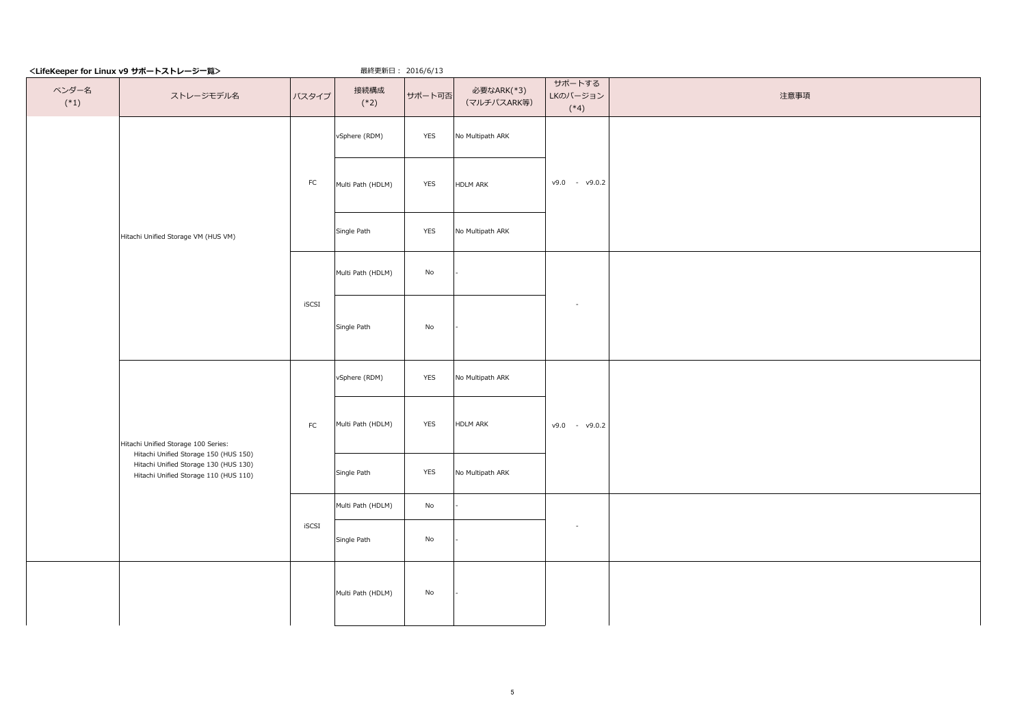|                 | <lifekeeper for="" linux="" v9="" サポートストレージー覧=""></lifekeeper>                 | 最終更新日: 2016/6/13 |                   |                              |                           |                              |      |
|-----------------|--------------------------------------------------------------------------------|------------------|-------------------|------------------------------|---------------------------|------------------------------|------|
| ベンダー名<br>$(*1)$ | ストレージモデル名                                                                      | バスタイプ            | 接続構成<br>$(*2)$    | サポート可否                       | 必要なARK(*3)<br>(マルチパスARK等) | サポートする<br>LKのバージョン<br>$(*4)$ | 注意事項 |
|                 |                                                                                |                  | vSphere (RDM)     | YES                          | No Multipath ARK          |                              |      |
|                 |                                                                                | FC               | Multi Path (HDLM) | YES                          | <b>HDLM ARK</b>           | $v9.0 - v9.0.2$              |      |
|                 | Hitachi Unified Storage VM (HUS VM)                                            |                  | Single Path       | YES                          | No Multipath ARK          |                              |      |
|                 |                                                                                |                  | Multi Path (HDLM) | No                           |                           |                              |      |
|                 |                                                                                | iSCSI            | Single Path       | No                           |                           | $\sim$                       |      |
|                 |                                                                                |                  | vSphere (RDM)     | <b>YES</b>                   | No Multipath ARK          |                              |      |
|                 | Hitachi Unified Storage 100 Series:<br>Hitachi Unified Storage 150 (HUS 150)   | FC               | Multi Path (HDLM) | YES                          | <b>HDLM ARK</b>           | $v9.0 - v9.0.2$              |      |
|                 | Hitachi Unified Storage 130 (HUS 130)<br>Hitachi Unified Storage 110 (HUS 110) |                  | Single Path       | <b>YES</b>                   | No Multipath ARK          |                              |      |
|                 |                                                                                |                  | Multi Path (HDLM) | $\mathsf{No}$                |                           |                              |      |
|                 |                                                                                | iSCSI            | Single Path       | $\operatorname{\mathsf{No}}$ |                           | $\sim$                       |      |
|                 |                                                                                |                  | Multi Path (HDLM) | $\operatorname{\mathsf{No}}$ |                           |                              |      |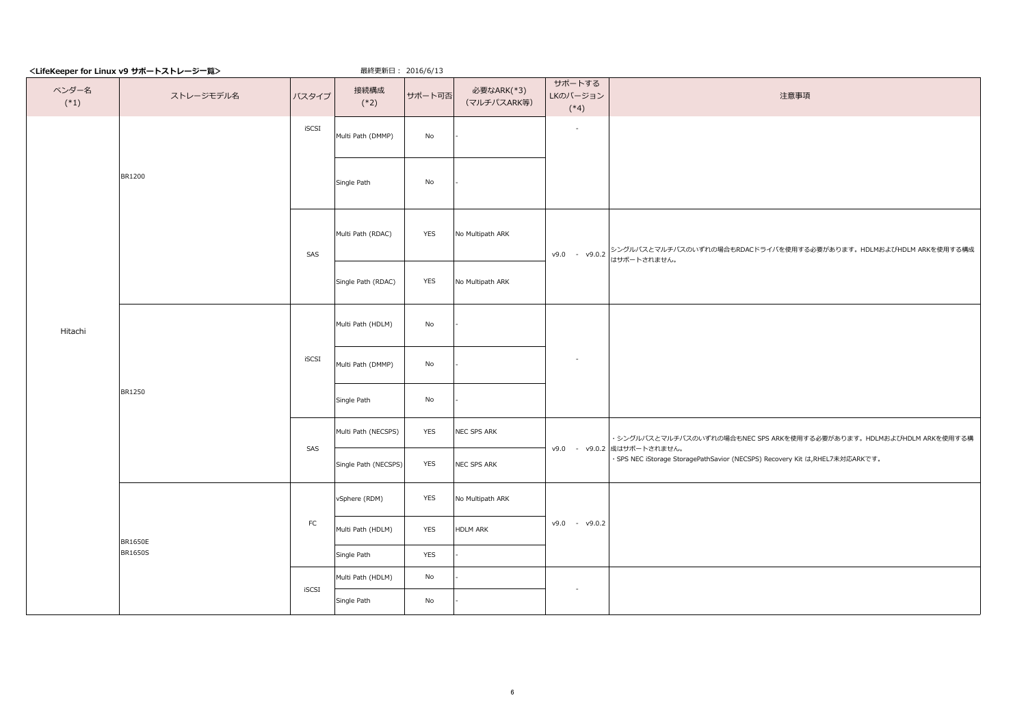| サポートする<br>ベンダー名<br>接続構成<br>必要なARK(*3)<br>LKのバージョン<br>バスタイプ<br>サポート可否<br>ストレージモデル名<br>注意事項<br>$(*1)$<br>(マルチパスARK等)<br>$(*2)$<br>$(*4)$<br>iSCSI<br>$\sim$<br>Multi Path (DMMP)<br>No<br>BR1200<br>Single Path<br>No<br>Multi Path (RDAC)<br>YES<br>No Multipath ARK<br>v9.0 - v9.0.2 シングルバスとマルチバスのいずれの場合もRDACドライバを使用する必要があります。 HDLMおよびHDLM ARKを使用する構成<br>・9.0 - v9.0.2 はサポートされません。<br>SAS<br>YES<br>Single Path (RDAC)<br>No Multipath ARK<br>Multi Path (HDLM)<br>No<br>Hitachi<br>iSCSI<br>$\sim$<br>Multi Path (DMMP)<br>No<br>BR1250<br>Single Path<br>No<br>Multi Path (NECSPS)<br>NEC SPS ARK<br>YES<br>SAS<br>v9.0 - v9.0.2 成はサポートされません。<br>· SPS NEC iStorage StoragePathSavior (NECSPS) Recovery Kit は,RHEL7未対応ARKです。<br>YES<br>Single Path (NECSPS)<br>NEC SPS ARK<br>vSphere (RDM)<br>YES<br>No Multipath ARK<br>FC<br>$v9.0 - v9.0.2$<br>YES<br>Multi Path (HDLM)<br><b>HDLM ARK</b><br><b>BR1650E</b><br><b>BR1650S</b><br>Single Path<br>YES<br>Multi Path (HDLM)<br>No<br>iSCSI<br>$\sim$<br>No<br>Single Path | <lifekeeper for="" linux="" v9="" サポートストレージ一覧=""></lifekeeper> | 最終更新日: 2016/6/13 |  |                                                                     |
|-------------------------------------------------------------------------------------------------------------------------------------------------------------------------------------------------------------------------------------------------------------------------------------------------------------------------------------------------------------------------------------------------------------------------------------------------------------------------------------------------------------------------------------------------------------------------------------------------------------------------------------------------------------------------------------------------------------------------------------------------------------------------------------------------------------------------------------------------------------------------------------------------------------------------------------------------------------------------------------------------------------------------------|----------------------------------------------------------------|------------------|--|---------------------------------------------------------------------|
|                                                                                                                                                                                                                                                                                                                                                                                                                                                                                                                                                                                                                                                                                                                                                                                                                                                                                                                                                                                                                               |                                                                |                  |  |                                                                     |
|                                                                                                                                                                                                                                                                                                                                                                                                                                                                                                                                                                                                                                                                                                                                                                                                                                                                                                                                                                                                                               |                                                                |                  |  |                                                                     |
|                                                                                                                                                                                                                                                                                                                                                                                                                                                                                                                                                                                                                                                                                                                                                                                                                                                                                                                                                                                                                               |                                                                |                  |  |                                                                     |
|                                                                                                                                                                                                                                                                                                                                                                                                                                                                                                                                                                                                                                                                                                                                                                                                                                                                                                                                                                                                                               |                                                                |                  |  |                                                                     |
|                                                                                                                                                                                                                                                                                                                                                                                                                                                                                                                                                                                                                                                                                                                                                                                                                                                                                                                                                                                                                               |                                                                |                  |  |                                                                     |
|                                                                                                                                                                                                                                                                                                                                                                                                                                                                                                                                                                                                                                                                                                                                                                                                                                                                                                                                                                                                                               |                                                                |                  |  |                                                                     |
|                                                                                                                                                                                                                                                                                                                                                                                                                                                                                                                                                                                                                                                                                                                                                                                                                                                                                                                                                                                                                               |                                                                |                  |  |                                                                     |
|                                                                                                                                                                                                                                                                                                                                                                                                                                                                                                                                                                                                                                                                                                                                                                                                                                                                                                                                                                                                                               |                                                                |                  |  |                                                                     |
|                                                                                                                                                                                                                                                                                                                                                                                                                                                                                                                                                                                                                                                                                                                                                                                                                                                                                                                                                                                                                               |                                                                |                  |  | ・シングルパスとマルチパスのいずれの場合もNEC SPS ARKを使用する必要があります。 HDLMおよびHDLM ARKを使用する構 |
|                                                                                                                                                                                                                                                                                                                                                                                                                                                                                                                                                                                                                                                                                                                                                                                                                                                                                                                                                                                                                               |                                                                |                  |  |                                                                     |
|                                                                                                                                                                                                                                                                                                                                                                                                                                                                                                                                                                                                                                                                                                                                                                                                                                                                                                                                                                                                                               |                                                                |                  |  |                                                                     |
|                                                                                                                                                                                                                                                                                                                                                                                                                                                                                                                                                                                                                                                                                                                                                                                                                                                                                                                                                                                                                               |                                                                |                  |  |                                                                     |
|                                                                                                                                                                                                                                                                                                                                                                                                                                                                                                                                                                                                                                                                                                                                                                                                                                                                                                                                                                                                                               |                                                                |                  |  |                                                                     |
|                                                                                                                                                                                                                                                                                                                                                                                                                                                                                                                                                                                                                                                                                                                                                                                                                                                                                                                                                                                                                               |                                                                |                  |  |                                                                     |
|                                                                                                                                                                                                                                                                                                                                                                                                                                                                                                                                                                                                                                                                                                                                                                                                                                                                                                                                                                                                                               |                                                                |                  |  |                                                                     |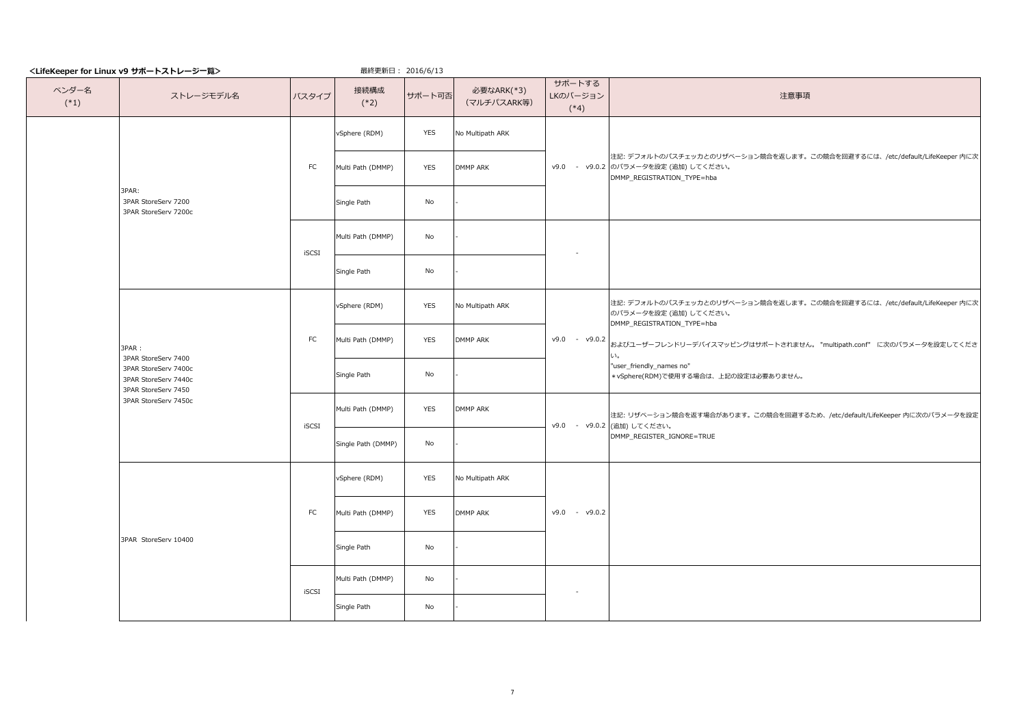|  |                 | <lifekeeper for="" linux="" v9="" サポートストレージー覧=""></lifekeeper>                                                              |              | 最終更新日: 2016/6/13   |            |                           |                              |                                                                                                                                                |
|--|-----------------|-----------------------------------------------------------------------------------------------------------------------------|--------------|--------------------|------------|---------------------------|------------------------------|------------------------------------------------------------------------------------------------------------------------------------------------|
|  | ベンダー名<br>$(*1)$ | ストレージモデル名                                                                                                                   | バスタイプ        | 接続構成<br>$(*2)$     | サポート可否     | 必要なARK(*3)<br>(マルチパスARK等) | サポートする<br>LKのバージョン<br>$(*4)$ | 注意事項                                                                                                                                           |
|  |                 |                                                                                                                             |              | vSphere (RDM)      | YES        | No Multipath ARK          |                              |                                                                                                                                                |
|  |                 |                                                                                                                             | FC           | Multi Path (DMMP)  | YES        | <b>DMMP ARK</b>           |                              | 注記: デフォルトのパスチェッカとのリザベーション競合を返します。この競合を回避するには、/etc/default/LifeKeeper 内に次<br>v9.0 - v9.0.2 のパラメータを設定 (追加) してください。<br>DMMP_REGISTRATION_TYPE=hba |
|  |                 | 3PAR:<br>3PAR StoreServ 7200<br>3PAR StoreServ 7200c                                                                        |              | Single Path        | No         |                           |                              |                                                                                                                                                |
|  |                 |                                                                                                                             | <b>iSCSI</b> | Multi Path (DMMP)  | No         |                           |                              |                                                                                                                                                |
|  |                 |                                                                                                                             |              | Single Path        | No         |                           |                              |                                                                                                                                                |
|  |                 | 3PAR:<br>3PAR StoreServ 7400<br>3PAR StoreServ 7400c<br>3PAR StoreServ 7440c<br>3PAR StoreServ 7450<br>3PAR StoreServ 7450c |              | vSphere (RDM)      | <b>YES</b> | No Multipath ARK          |                              | 注記:デフォルトのパスチェッカとのリザベーション競合を返します。この競合を回避するには、/etc/default/LifeKeeper 内に次<br>のパラメータを設定 (追加) してください。<br>DMMP_REGISTRATION_TYPE=hba                |
|  |                 |                                                                                                                             | ${\sf FC}$   | Multi Path (DMMP)  | YES        | <b>DMMP ARK</b>           | $v9.0 - v9.0.2$              | およびユーザーフレンドリーデバイスマッピングはサポートされません。 "multipath.conf" に次のパラメータを設定してくださ<br>$\cup$                                                                  |
|  |                 |                                                                                                                             |              | Single Path        | No         |                           |                              | "user_friendly_names no"<br>* vSphere(RDM)で使用する場合は、上記の設定は必要ありません。                                                                              |
|  |                 |                                                                                                                             | <b>iSCSI</b> | Multi Path (DMMP)  | YES        | <b>DMMP ARK</b>           |                              | 注記: リザベーション競合を返す場合があります。この競合を回避するため、/etc/default/LifeKeeper 内に次のパラメータを設定<br>v9.0 - v9.0.2 (追加) してください。                                         |
|  |                 |                                                                                                                             |              | Single Path (DMMP) | No         |                           |                              | DMMP_REGISTER_IGNORE=TRUE                                                                                                                      |
|  |                 |                                                                                                                             |              | vSphere (RDM)      | <b>YES</b> | No Multipath ARK          |                              |                                                                                                                                                |
|  |                 | 3PAR StoreServ 10400                                                                                                        | ${\sf FC}$   | Multi Path (DMMP)  | YES        | <b>DMMP ARK</b>           | $v9.0 - v9.0.2$              |                                                                                                                                                |
|  |                 |                                                                                                                             |              | Single Path        | No         |                           |                              |                                                                                                                                                |
|  |                 |                                                                                                                             | <b>iSCSI</b> | Multi Path (DMMP)  | No         |                           | $\sim$                       |                                                                                                                                                |
|  |                 |                                                                                                                             |              | Single Path        | No         |                           |                              |                                                                                                                                                |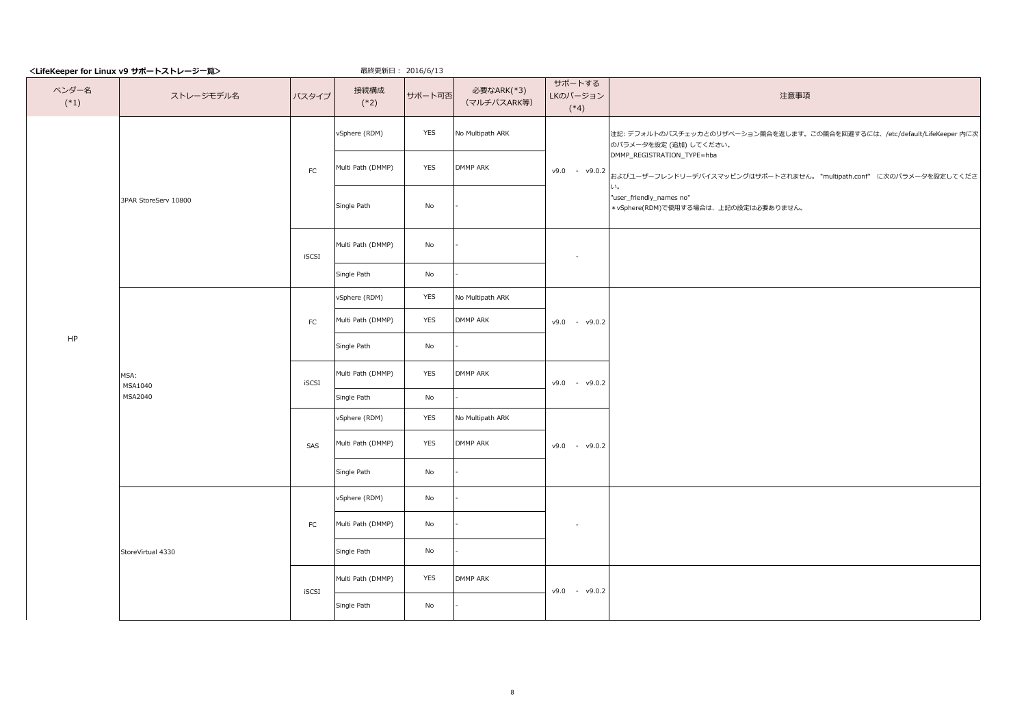|                 | <lifekeeper for="" linux="" v9="" サポートストレージー覧=""></lifekeeper> |       | 最終更新日: 2016/6/13  |            |                           |                              |                                                                                                    |
|-----------------|----------------------------------------------------------------|-------|-------------------|------------|---------------------------|------------------------------|----------------------------------------------------------------------------------------------------|
| ベンダー名<br>$(*1)$ | ストレージモデル名                                                      | バスタイプ | 接続構成<br>$(*2)$    | サポート可否     | 必要なARK(*3)<br>(マルチパスARK等) | サポートする<br>LKのバージョン<br>$(*4)$ | 注意事項                                                                                               |
|                 |                                                                |       | vSphere (RDM)     | YES        | No Multipath ARK          |                              | 注記: デフォルトのパスチェッカとのリザベーション競合を返します。この競合を回避するには、/etc/default/LifeKeeper 内に次<br>のパラメータを設定 (追加) してください。 |
|                 |                                                                | FC    | Multi Path (DMMP) | <b>YES</b> | <b>DMMP ARK</b>           | $v9.0 - v9.0.2$              | DMMP_REGISTRATION_TYPE=hba<br>およびユーザーフレンドリーデバイスマッピングはサポートされません。 "multipath.conf" に次のパラメータを設定してくださ  |
|                 | 3PAR StoreServ 10800                                           |       | Single Path       | No         |                           |                              | い。<br>"user_friendly_names no"<br>* vSphere(RDM)で使用する場合は、上記の設定は必要ありません。                            |
|                 |                                                                | iSCSI | Multi Path (DMMP) | No         |                           | $\sim$                       |                                                                                                    |
|                 |                                                                |       | Single Path       | No         |                           |                              |                                                                                                    |
|                 |                                                                |       | vSphere (RDM)     | YES        | No Multipath ARK          |                              |                                                                                                    |
|                 | MSA:<br>MSA1040<br>MSA2040                                     | FC    | Multi Path (DMMP) | YES        | DMMP ARK                  | $v9.0 - v9.0.2$              |                                                                                                    |
| HP              |                                                                |       | Single Path       | No         |                           |                              |                                                                                                    |
|                 |                                                                | iSCSI | Multi Path (DMMP) | <b>YES</b> | DMMP ARK                  | $v9.0 - v9.0.2$              |                                                                                                    |
|                 |                                                                |       | Single Path       | No         |                           |                              |                                                                                                    |
|                 |                                                                |       | vSphere (RDM)     | <b>YES</b> | No Multipath ARK          |                              |                                                                                                    |
|                 |                                                                | SAS   | Multi Path (DMMP) | YES        | DMMP ARK                  | $v9.0 - v9.0.2$              |                                                                                                    |
|                 |                                                                |       | Single Path       | No         |                           |                              |                                                                                                    |
|                 |                                                                |       | vSphere (RDM)     | No         |                           |                              |                                                                                                    |
|                 |                                                                | FC    | Multi Path (DMMP) | No         |                           | $\sim$                       |                                                                                                    |
|                 | StoreVirtual 4330                                              |       | Single Path       | No         |                           |                              |                                                                                                    |
|                 |                                                                | iSCSI | Multi Path (DMMP) | <b>YES</b> | <b>DMMP ARK</b>           | $v9.0 - v9.0.2$              |                                                                                                    |
|                 |                                                                |       | Single Path       | No         |                           |                              |                                                                                                    |

8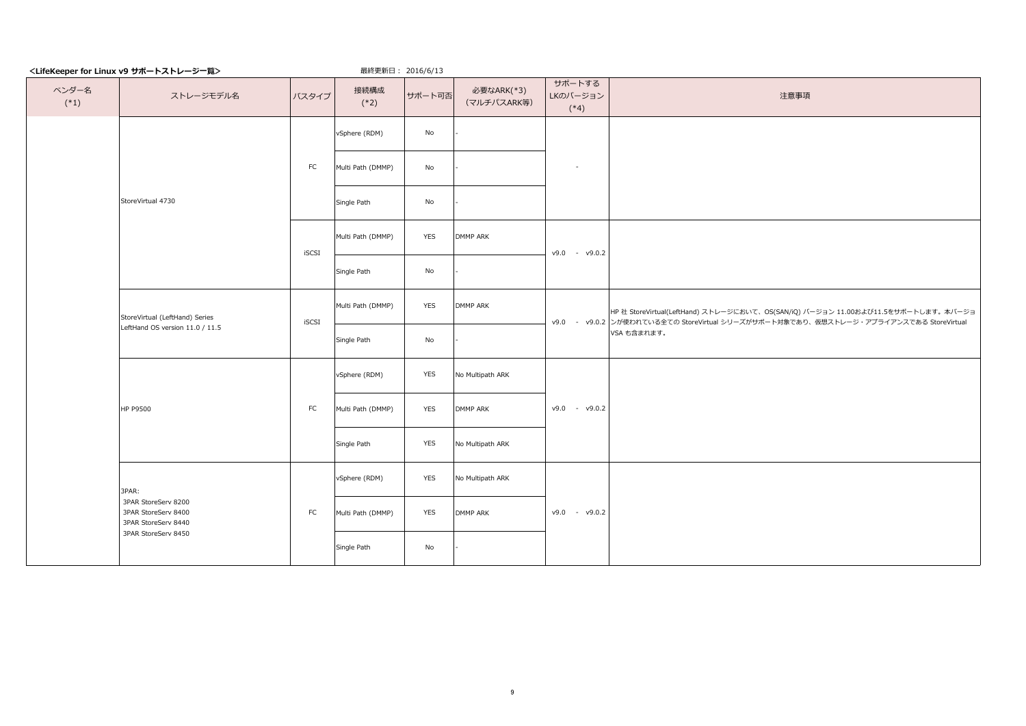|                 | <lifekeeper for="" linux="" v9="" サポートストレージー覧=""></lifekeeper>    |            | 最終更新日: 2016/6/13  |            |                           |                              |                                                                                                                                                                            |
|-----------------|-------------------------------------------------------------------|------------|-------------------|------------|---------------------------|------------------------------|----------------------------------------------------------------------------------------------------------------------------------------------------------------------------|
| ベンダー名<br>$(*1)$ | ストレージモデル名                                                         | バスタイプ      | 接続構成<br>$(*2)$    | サポート可否     | 必要なARK(*3)<br>(マルチパスARK等) | サポートする<br>LKのバージョン<br>$(*4)$ | 注意事項                                                                                                                                                                       |
|                 |                                                                   |            | vSphere (RDM)     | No         |                           |                              |                                                                                                                                                                            |
|                 |                                                                   | ${\sf FC}$ | Multi Path (DMMP) | No         |                           | $\sim$                       |                                                                                                                                                                            |
|                 | StoreVirtual 4730                                                 |            | Single Path       | No         |                           |                              |                                                                                                                                                                            |
|                 |                                                                   | iSCSI      | Multi Path (DMMP) | <b>YES</b> | <b>DMMP ARK</b>           | $v9.0 - v9.0.2$              |                                                                                                                                                                            |
|                 |                                                                   |            | Single Path       | No         |                           |                              |                                                                                                                                                                            |
|                 | StoreVirtual (LeftHand) Series                                    | iSCSI      | Multi Path (DMMP) | YES        | DMMP ARK                  |                              | HP 社 StoreVirtual(LeftHand) ストレージにおいて、OS(SAN/iQ) バージョン 11.00および11.5をサポートします。本バージョ<br>v9.0 - v9.0.2 ンが使われている全ての StoreVirtual シリーズがサポート対象であり、仮想ストレージ・アプライアンスである StoreVirtual |
|                 | LeftHand OS version 11.0 / 11.5                                   |            | Single Path       | No         |                           |                              | VSA も含まれます。                                                                                                                                                                |
|                 |                                                                   |            | vSphere (RDM)     | YES        | No Multipath ARK          |                              |                                                                                                                                                                            |
|                 | HP P9500                                                          | FC         | Multi Path (DMMP) | <b>YES</b> | DMMP ARK                  | $v9.0 - v9.0.2$              |                                                                                                                                                                            |
|                 |                                                                   |            | Single Path       | YES        | No Multipath ARK          |                              |                                                                                                                                                                            |
|                 | 3PAR:                                                             |            | vSphere (RDM)     | YES        | No Multipath ARK          |                              |                                                                                                                                                                            |
|                 | 3PAR StoreServ 8200<br>3PAR StoreServ 8400<br>3PAR StoreServ 8440 | FC         | Multi Path (DMMP) | YES        | DMMP ARK                  | $v9.0 - v9.0.2$              |                                                                                                                                                                            |
|                 | 3PAR StoreServ 8450                                               |            | Single Path       | No         |                           |                              |                                                                                                                                                                            |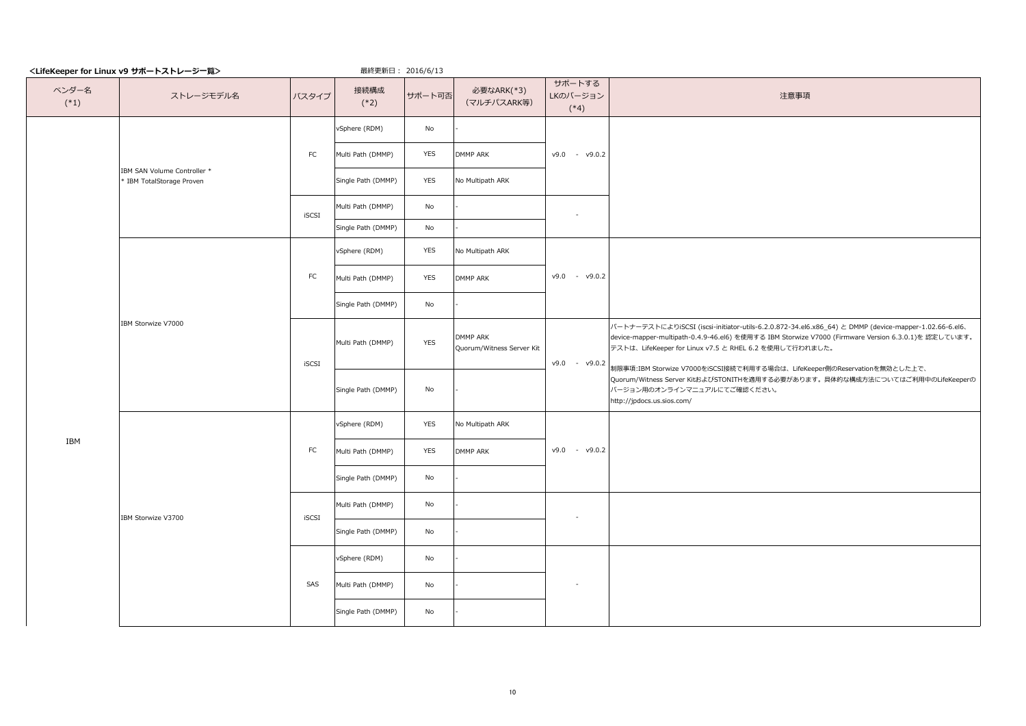|                 | <lifekeeper for="" linux="" v9="" サホートストレーシー覧=""></lifekeeper> |            | 最終更新日: 2016/6/13   |            |                                       |                              |                                                                                                                                                                                                                                                                                                                                                    |
|-----------------|----------------------------------------------------------------|------------|--------------------|------------|---------------------------------------|------------------------------|----------------------------------------------------------------------------------------------------------------------------------------------------------------------------------------------------------------------------------------------------------------------------------------------------------------------------------------------------|
| ベンダー名<br>$(*1)$ | ストレージモデル名                                                      | バスタイプ      | 接続構成<br>$(*2)$     | サポート可否     | 必要なARK(*3)<br>(マルチパスARK等)             | サポートする<br>LKのバージョン<br>$(*4)$ | 注意事項                                                                                                                                                                                                                                                                                                                                               |
|                 |                                                                |            | vSphere (RDM)      | No         |                                       |                              |                                                                                                                                                                                                                                                                                                                                                    |
|                 |                                                                | ${\sf FC}$ | Multi Path (DMMP)  | <b>YES</b> | DMMP ARK                              | $v9.0 - v9.0.2$              |                                                                                                                                                                                                                                                                                                                                                    |
|                 | IBM SAN Volume Controller *<br>* IBM TotalStorage Proven       |            | Single Path (DMMP) | <b>YES</b> | No Multipath ARK                      |                              |                                                                                                                                                                                                                                                                                                                                                    |
|                 |                                                                | iSCSI      | Multi Path (DMMP)  | No         |                                       | $\sim$                       |                                                                                                                                                                                                                                                                                                                                                    |
|                 |                                                                |            | Single Path (DMMP) | No         |                                       |                              |                                                                                                                                                                                                                                                                                                                                                    |
|                 |                                                                |            | vSphere (RDM)      | YES        | No Multipath ARK                      |                              |                                                                                                                                                                                                                                                                                                                                                    |
|                 |                                                                | FC         | Multi Path (DMMP)  | <b>YES</b> | DMMP ARK                              | $v9.0 - v9.0.2$              |                                                                                                                                                                                                                                                                                                                                                    |
|                 |                                                                |            | Single Path (DMMP) | No         |                                       |                              |                                                                                                                                                                                                                                                                                                                                                    |
|                 | IBM Storwize V7000                                             | iSCSI      | Multi Path (DMMP)  | <b>YES</b> | DMMP ARK<br>Quorum/Witness Server Kit | $v9.0 - v9.0.2$              | パートナーテストによりiSCSI (iscsi-initiator-utils-6.2.0.872-34.el6.x86_64) と DMMP (device-mapper-1.02.66-6.el6、<br>device-mapper-multipath-0.4.9-46.el6) を使用する IBM Storwize V7000 (Firmware Version 6.3.0.1)を 認定しています。<br>テストは、LifeKeeper for Linux v7.5 と RHEL 6.2 を使用して行われました。<br>制限事項:IBM Storwize V7000をiSCSI接続で利用する場合は、LifeKeeper側のReservationを無効とした上で、 |
|                 |                                                                |            | Single Path (DMMP) | No         |                                       |                              | Quorum/Witness Server KitおよびSTONITHを適用する必要があります。具体的な構成方法についてはご利用中のLifeKeeperの<br>バージョン用のオンラインマニュアルにてご確認ください。<br>http://jpdocs.us.sios.com/                                                                                                                                                                                                         |
|                 |                                                                | FC         | vSphere (RDM)      | YES        | No Multipath ARK                      |                              |                                                                                                                                                                                                                                                                                                                                                    |
| IBM             |                                                                |            | Multi Path (DMMP)  | <b>YES</b> | DMMP ARK                              | $v9.0 - v9.0.2$              |                                                                                                                                                                                                                                                                                                                                                    |
|                 |                                                                |            | Single Path (DMMP) | No         |                                       |                              |                                                                                                                                                                                                                                                                                                                                                    |
|                 | IBM Storwize V3700                                             | iSCSI      | Multi Path (DMMP)  | No         |                                       |                              |                                                                                                                                                                                                                                                                                                                                                    |
|                 |                                                                |            | Single Path (DMMP) | No         |                                       |                              |                                                                                                                                                                                                                                                                                                                                                    |
|                 |                                                                |            | vSphere (RDM)      | No         |                                       |                              |                                                                                                                                                                                                                                                                                                                                                    |
|                 |                                                                | SAS        | Multi Path (DMMP)  | No         |                                       | $\sim$                       |                                                                                                                                                                                                                                                                                                                                                    |
|                 |                                                                |            | Single Path (DMMP) | No         |                                       |                              |                                                                                                                                                                                                                                                                                                                                                    |

# <LifeKeeper for Linux v9 サポートストレージ一覧> 最終更新日:

三级西班口, 2016/6/13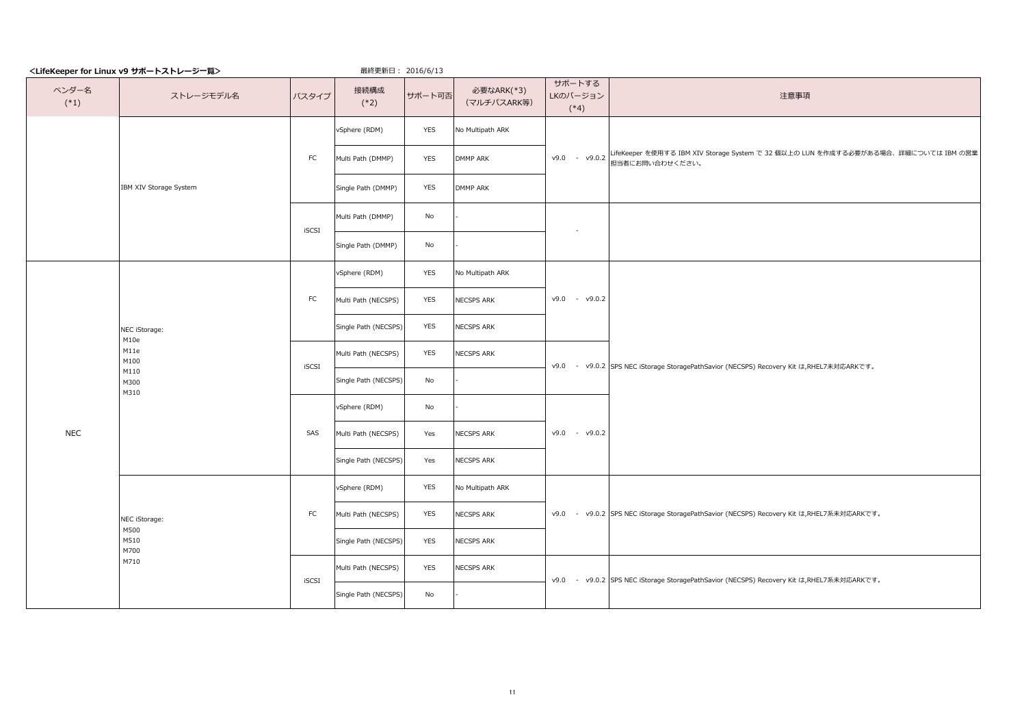|                 | <lifekeeper for="" linux="" v9="" サポートストレージー覧=""></lifekeeper> |              | 最終更新日: 2016/6/13     |            |                           |                              |                                                                                                       |
|-----------------|----------------------------------------------------------------|--------------|----------------------|------------|---------------------------|------------------------------|-------------------------------------------------------------------------------------------------------|
| ベンダー名<br>$(*1)$ | ストレージモデル名                                                      | バスタイプ        | 接続構成<br>$(*2)$       | サポート可否     | 必要なARK(*3)<br>(マルチパスARK等) | サポートする<br>LKのバージョン<br>$(*4)$ | 注意事項                                                                                                  |
|                 |                                                                |              | vSphere (RDM)        | YES        | No Multipath ARK          |                              |                                                                                                       |
|                 |                                                                | FC           | Multi Path (DMMP)    | <b>YES</b> | <b>DMMP ARK</b>           | $v9.0 - v9.0.2$              | LifeKeeper を使用する IBM XIV Storage System で 32 個以上の LUN を作成する必要がある場合、詳細については IBM の営業<br>担当者にお問い合わせください。 |
|                 | IBM XIV Storage System                                         |              | Single Path (DMMP)   | <b>YES</b> | <b>DMMP ARK</b>           |                              |                                                                                                       |
|                 |                                                                | iSCSI        | Multi Path (DMMP)    | No         |                           |                              |                                                                                                       |
|                 |                                                                |              | Single Path (DMMP)   | No         |                           |                              |                                                                                                       |
|                 |                                                                |              | vSphere (RDM)        | <b>YES</b> | No Multipath ARK          |                              |                                                                                                       |
|                 |                                                                | ${\sf FC}$   | Multi Path (NECSPS)  | YES        | NECSPS ARK                | $v9.0 - v9.0.2$              |                                                                                                       |
|                 | NEC iStorage:<br>M10e<br>M11e<br>M100<br>M110<br>M300<br>M310  |              | Single Path (NECSPS) | YES        | NECSPS ARK                |                              |                                                                                                       |
|                 |                                                                | iSCSI        | Multi Path (NECSPS)  | YES        | NECSPS ARK                |                              | v9.0 - v9.0.2 SPS NEC iStorage StoragePathSavior (NECSPS) Recovery Kit は,RHEL7未対応ARKです。               |
|                 |                                                                |              | Single Path (NECSPS) | No         |                           |                              |                                                                                                       |
|                 |                                                                | SAS          | vSphere (RDM)        | No         |                           |                              |                                                                                                       |
| <b>NEC</b>      |                                                                |              | Multi Path (NECSPS)  | Yes        | NECSPS ARK                | v9.0 - v9.0.2                |                                                                                                       |
|                 |                                                                |              | Single Path (NECSPS) | Yes        | NECSPS ARK                |                              |                                                                                                       |
|                 |                                                                |              | vSphere (RDM)        | YES        | No Multipath ARK          |                              |                                                                                                       |
|                 | NEC iStorage:<br>M500                                          | ${\sf FC}$   | Multi Path (NECSPS)  | YES        | NECSPS ARK                |                              | v9.0 - v9.0.2 SPS NEC iStorage StoragePathSavior (NECSPS) Recovery Kit は,RHEL7系未対応ARKです。              |
|                 | M510<br>M700                                                   |              | Single Path (NECSPS) | YES        | NECSPS ARK                |                              |                                                                                                       |
|                 | M710                                                           | <b>iSCSI</b> | Multi Path (NECSPS)  | YES        | <b>NECSPS ARK</b>         |                              | v9.0 - v9.0.2 SPS NEC iStorage StoragePathSavior (NECSPS) Recovery Kit は,RHEL7系未対応ARKです。              |
|                 |                                                                |              | Single Path (NECSPS) | No         |                           |                              |                                                                                                       |